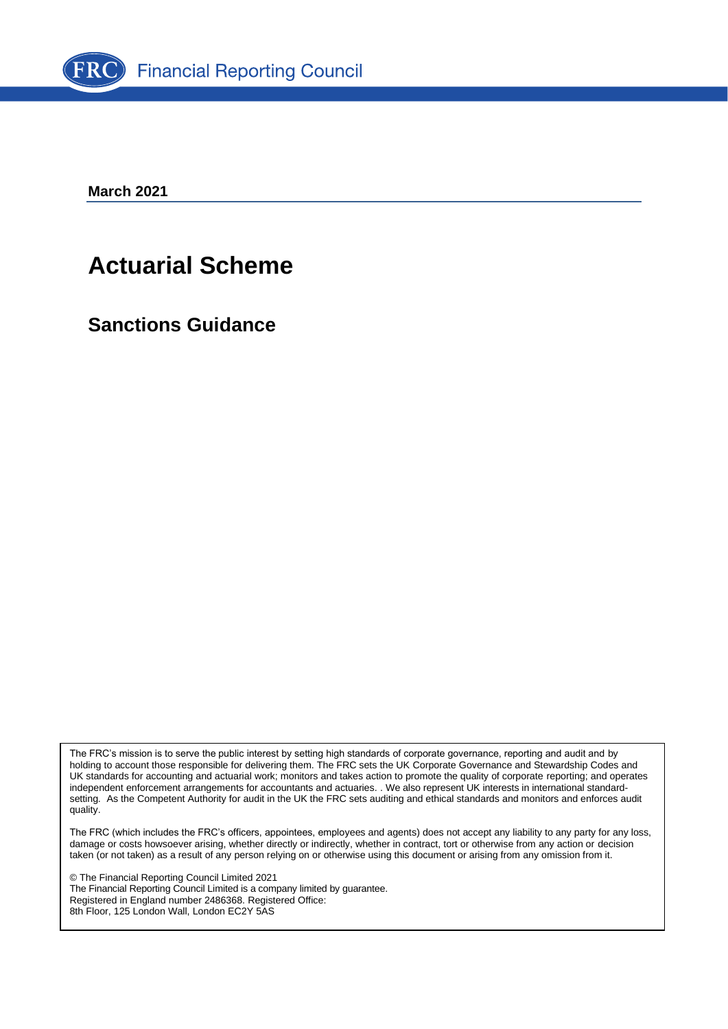

**March 2021**

# **Actuarial Scheme**

**Sanctions Guidance**

The FRC's mission is to serve the public interest by setting high standards of corporate governance, reporting and audit and by holding to account those responsible for delivering them. The FRC sets the UK Corporate Governance and Stewardship Codes and UK standards for accounting and actuarial work; monitors and takes action to promote the quality of corporate reporting; and operates independent enforcement arrangements for accountants and actuaries. . We also represent UK interests in international standardsetting. As the Competent Authority for audit in the UK the FRC sets auditing and ethical standards and monitors and enforces audit quality.

The FRC (which includes the FRC's officers, appointees, employees and agents) does not accept any liability to any party for any loss, damage or costs howsoever arising, whether directly or indirectly, whether in contract, tort or otherwise from any action or decision taken (or not taken) as a result of any person relying on or otherwise using this document or arising from any omission from it.

© The Financial Reporting Council Limited 2021 The Financial Reporting Council Limited is a company limited by guarantee. Registered in England number 2486368. Registered Office: 8th Floor, 125 London Wall, London EC2Y 5AS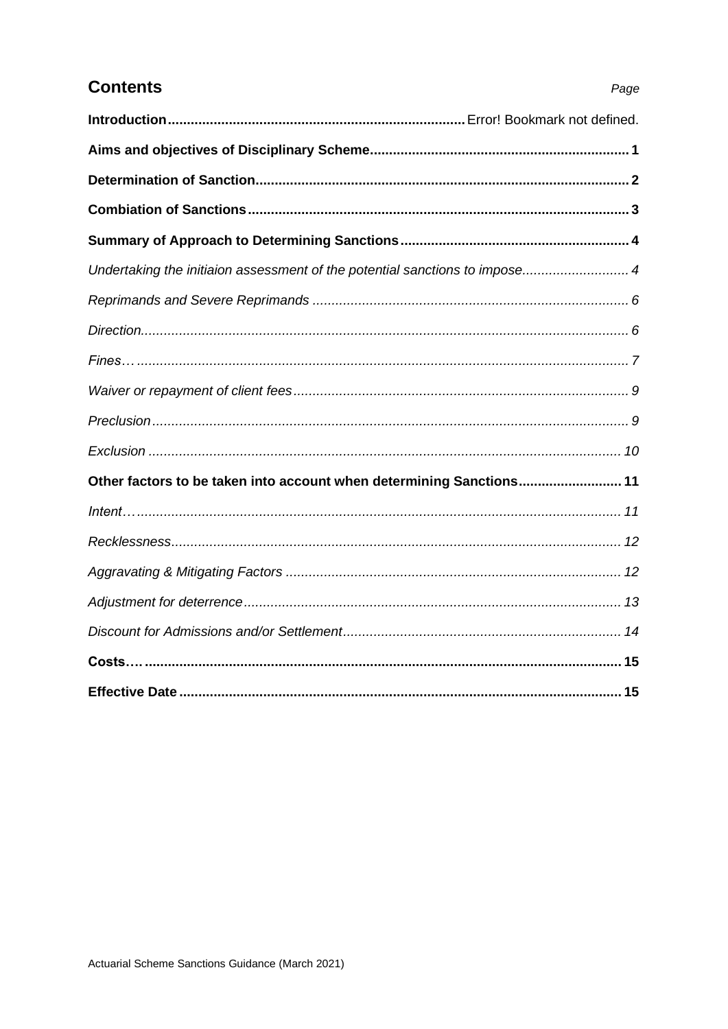| <b>Contents</b>                     |
|-------------------------------------|
| Introduction                        |
| Aims and objectives of Disciplinary |
| Determination of Sanction           |

| Undertaking the initiaion assessment of the potential sanctions to impose 4 |  |
|-----------------------------------------------------------------------------|--|
|                                                                             |  |
|                                                                             |  |
|                                                                             |  |
|                                                                             |  |
|                                                                             |  |
|                                                                             |  |
| Other factors to be taken into account when determining Sanctions 11        |  |
|                                                                             |  |
|                                                                             |  |
|                                                                             |  |
|                                                                             |  |
|                                                                             |  |
|                                                                             |  |
|                                                                             |  |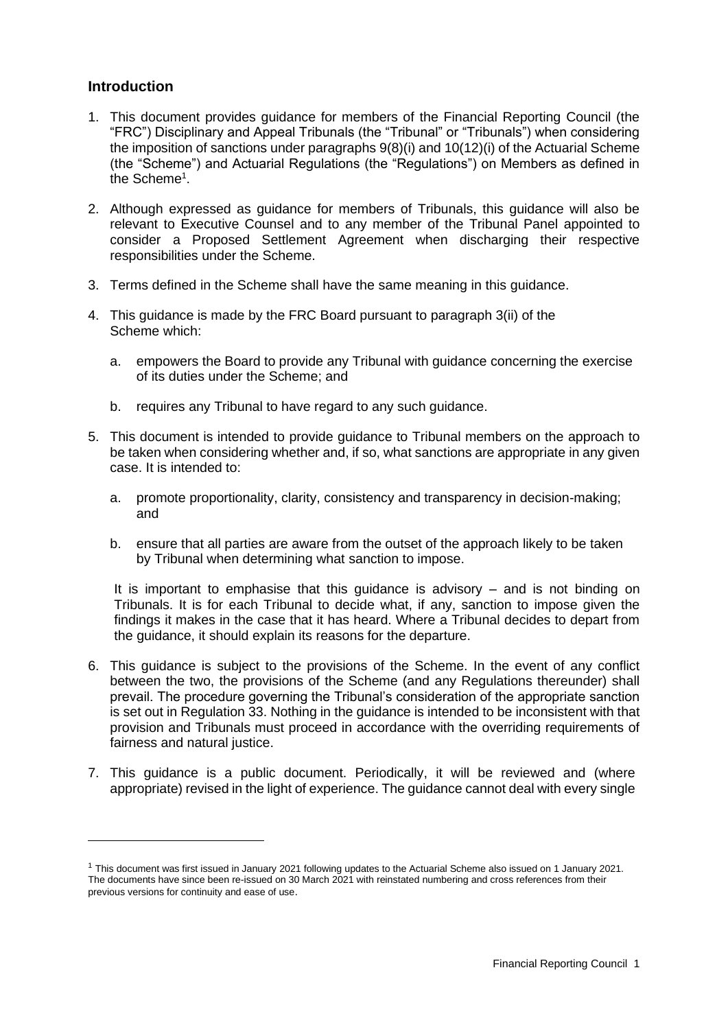## **Introduction**

- 1. This document provides guidance for members of the Financial Reporting Council (the "FRC") Disciplinary and Appeal Tribunals (the "Tribunal" or "Tribunals") when considering the imposition of sanctions under paragraphs 9(8)(i) and 10(12)(i) of the Actuarial Scheme (the "Scheme") and Actuarial Regulations (the "Regulations") on Members as defined in the Scheme<sup>1</sup>.
- 2. Although expressed as guidance for members of Tribunals, this guidance will also be relevant to Executive Counsel and to any member of the Tribunal Panel appointed to consider a Proposed Settlement Agreement when discharging their respective responsibilities under the Scheme.
- 3. Terms defined in the Scheme shall have the same meaning in this guidance.
- 4. This guidance is made by the FRC Board pursuant to paragraph 3(ii) of the Scheme which:
	- a. empowers the Board to provide any Tribunal with guidance concerning the exercise of its duties under the Scheme; and
	- b. requires any Tribunal to have regard to any such guidance.
- 5. This document is intended to provide guidance to Tribunal members on the approach to be taken when considering whether and, if so, what sanctions are appropriate in any given case. It is intended to:
	- a. promote proportionality, clarity, consistency and transparency in decision-making; and
	- b. ensure that all parties are aware from the outset of the approach likely to be taken by Tribunal when determining what sanction to impose.

It is important to emphasise that this guidance is advisory – and is not binding on Tribunals. It is for each Tribunal to decide what, if any, sanction to impose given the findings it makes in the case that it has heard. Where a Tribunal decides to depart from the guidance, it should explain its reasons for the departure.

- 6. This guidance is subject to the provisions of the Scheme. In the event of any conflict between the two, the provisions of the Scheme (and any Regulations thereunder) shall prevail. The procedure governing the Tribunal's consideration of the appropriate sanction is set out in Regulation 33. Nothing in the guidance is intended to be inconsistent with that provision and Tribunals must proceed in accordance with the overriding requirements of fairness and natural justice.
- 7. This guidance is a public document. Periodically, it will be reviewed and (where appropriate) revised in the light of experience. The guidance cannot deal with every single

<sup>1</sup> This document was first issued in January 2021 following updates to the Actuarial Scheme also issued on 1 January 2021. The documents have since been re-issued on 30 March 2021 with reinstated numbering and cross references from their previous versions for continuity and ease of use.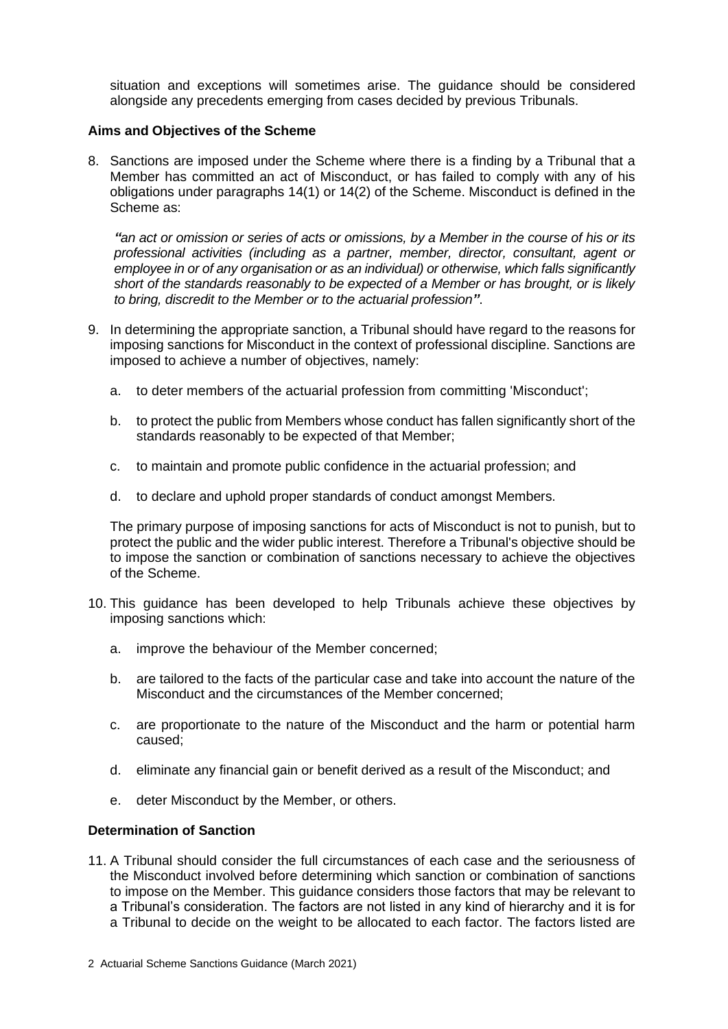situation and exceptions will sometimes arise. The guidance should be considered alongside any precedents emerging from cases decided by previous Tribunals.

#### **Aims and Objectives of the Scheme**

8. Sanctions are imposed under the Scheme where there is a finding by a Tribunal that a Member has committed an act of Misconduct, or has failed to comply with any of his obligations under paragraphs 14(1) or 14(2) of the Scheme. Misconduct is defined in the Scheme as:

*"an act or omission or series of acts or omissions, by a Member in the course of his or its professional activities (including as a partner, member, director, consultant, agent or employee in or of any organisation or as an individual) or otherwise, which falls significantly short of the standards reasonably to be expected of a Member or has brought, or is likely to bring, discredit to the Member or to the actuarial profession"*.

- 9. In determining the appropriate sanction, a Tribunal should have regard to the reasons for imposing sanctions for Misconduct in the context of professional discipline. Sanctions are imposed to achieve a number of objectives, namely:
	- a. to deter members of the actuarial profession from committing 'Misconduct';
	- b. to protect the public from Members whose conduct has fallen significantly short of the standards reasonably to be expected of that Member;
	- c. to maintain and promote public confidence in the actuarial profession; and
	- d. to declare and uphold proper standards of conduct amongst Members.

The primary purpose of imposing sanctions for acts of Misconduct is not to punish, but to protect the public and the wider public interest. Therefore a Tribunal's objective should be to impose the sanction or combination of sanctions necessary to achieve the objectives of the Scheme.

- 10. This guidance has been developed to help Tribunals achieve these objectives by imposing sanctions which:
	- a. improve the behaviour of the Member concerned;
	- b. are tailored to the facts of the particular case and take into account the nature of the Misconduct and the circumstances of the Member concerned;
	- c. are proportionate to the nature of the Misconduct and the harm or potential harm caused;
	- d. eliminate any financial gain or benefit derived as a result of the Misconduct; and
	- e. deter Misconduct by the Member, or others.

## **Determination of Sanction**

11. A Tribunal should consider the full circumstances of each case and the seriousness of the Misconduct involved before determining which sanction or combination of sanctions to impose on the Member. This guidance considers those factors that may be relevant to a Tribunal's consideration. The factors are not listed in any kind of hierarchy and it is for a Tribunal to decide on the weight to be allocated to each factor. The factors listed are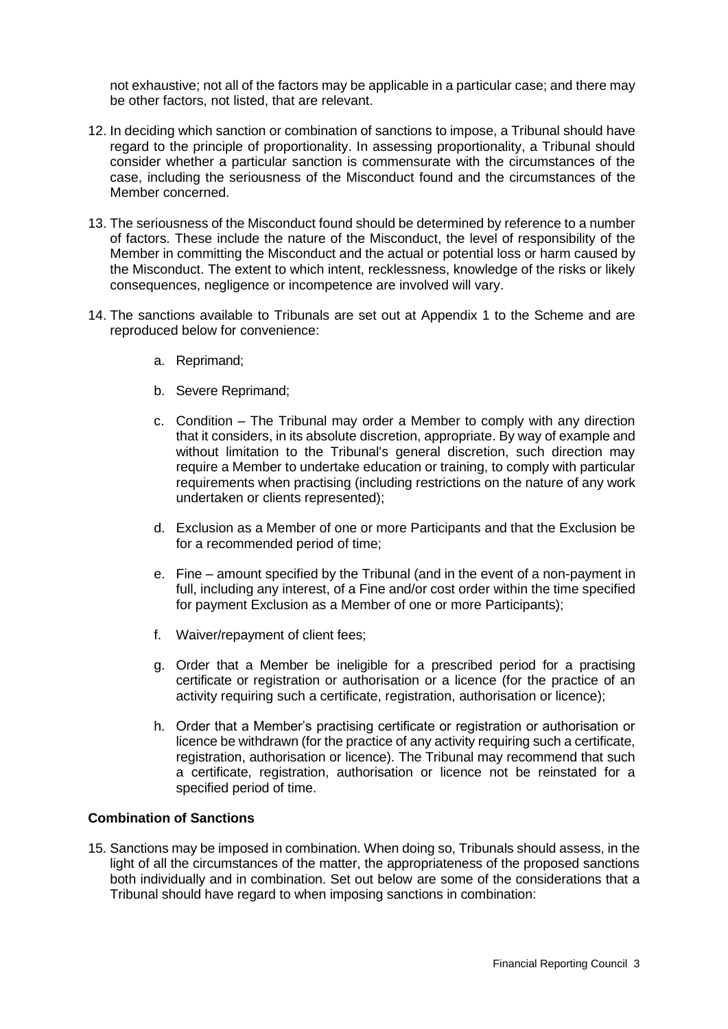not exhaustive; not all of the factors may be applicable in a particular case; and there may be other factors, not listed, that are relevant.

- 12. In deciding which sanction or combination of sanctions to impose, a Tribunal should have regard to the principle of proportionality. In assessing proportionality, a Tribunal should consider whether a particular sanction is commensurate with the circumstances of the case, including the seriousness of the Misconduct found and the circumstances of the Member concerned.
- 13. The seriousness of the Misconduct found should be determined by reference to a number of factors. These include the nature of the Misconduct, the level of responsibility of the Member in committing the Misconduct and the actual or potential loss or harm caused by the Misconduct. The extent to which intent, recklessness, knowledge of the risks or likely consequences, negligence or incompetence are involved will vary.
- 14. The sanctions available to Tribunals are set out at Appendix 1 to the Scheme and are reproduced below for convenience:
	- a. Reprimand;
	- b. Severe Reprimand;
	- c. Condition The Tribunal may order a Member to comply with any direction that it considers, in its absolute discretion, appropriate. By way of example and without limitation to the Tribunal's general discretion, such direction may require a Member to undertake education or training, to comply with particular requirements when practising (including restrictions on the nature of any work undertaken or clients represented);
	- d. Exclusion as a Member of one or more Participants and that the Exclusion be for a recommended period of time;
	- e. Fine amount specified by the Tribunal (and in the event of a non-payment in full, including any interest, of a Fine and/or cost order within the time specified for payment Exclusion as a Member of one or more Participants);
	- f. Waiver/repayment of client fees;
	- g. Order that a Member be ineligible for a prescribed period for a practising certificate or registration or authorisation or a licence (for the practice of an activity requiring such a certificate, registration, authorisation or licence);
	- h. Order that a Member's practising certificate or registration or authorisation or licence be withdrawn (for the practice of any activity requiring such a certificate, registration, authorisation or licence). The Tribunal may recommend that such a certificate, registration, authorisation or licence not be reinstated for a specified period of time.

## **Combination of Sanctions**

15. Sanctions may be imposed in combination. When doing so, Tribunals should assess, in the light of all the circumstances of the matter, the appropriateness of the proposed sanctions both individually and in combination. Set out below are some of the considerations that a Tribunal should have regard to when imposing sanctions in combination: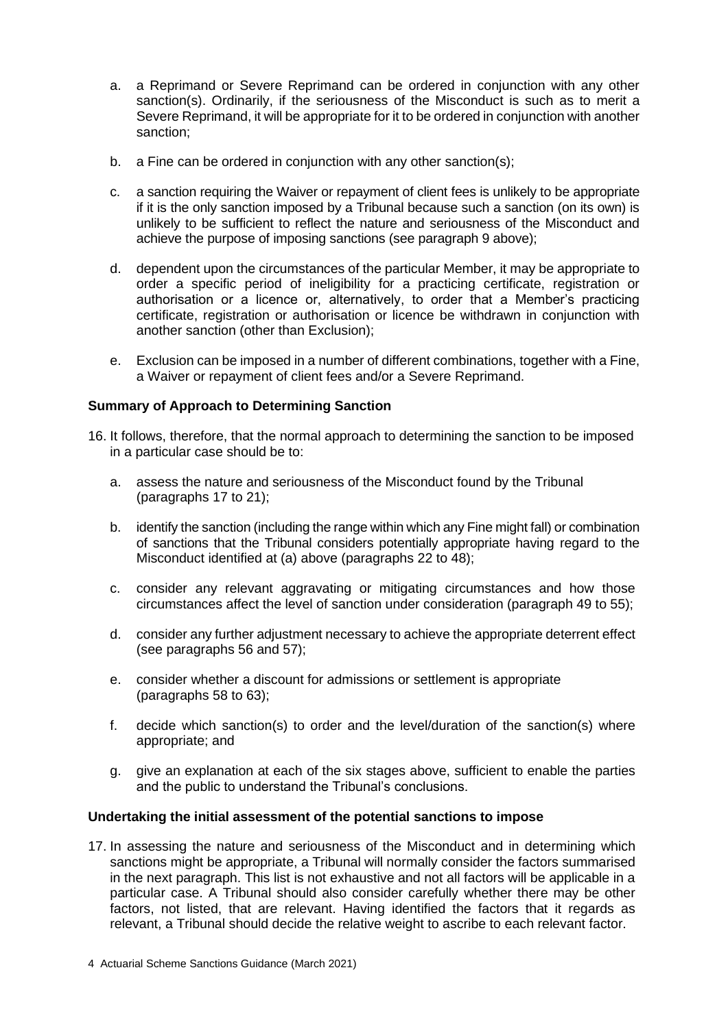- a. a Reprimand or Severe Reprimand can be ordered in conjunction with any other sanction(s). Ordinarily, if the seriousness of the Misconduct is such as to merit a Severe Reprimand, it will be appropriate for it to be ordered in conjunction with another sanction;
- b. a Fine can be ordered in conjunction with any other sanction(s);
- c. a sanction requiring the Waiver or repayment of client fees is unlikely to be appropriate if it is the only sanction imposed by a Tribunal because such a sanction (on its own) is unlikely to be sufficient to reflect the nature and seriousness of the Misconduct and achieve the purpose of imposing sanctions (see paragraph 9 above);
- d. dependent upon the circumstances of the particular Member, it may be appropriate to order a specific period of ineligibility for a practicing certificate, registration or authorisation or a licence or, alternatively, to order that a Member's practicing certificate, registration or authorisation or licence be withdrawn in conjunction with another sanction (other than Exclusion);
- e. Exclusion can be imposed in a number of different combinations, together with a Fine, a Waiver or repayment of client fees and/or a Severe Reprimand.

## **Summary of Approach to Determining Sanction**

- 16. It follows, therefore, that the normal approach to determining the sanction to be imposed in a particular case should be to:
	- a. assess the nature and seriousness of the Misconduct found by the Tribunal (paragraphs 17 to 21);
	- b. identify the sanction (including the range within which any Fine might fall) or combination of sanctions that the Tribunal considers potentially appropriate having regard to the Misconduct identified at (a) above (paragraphs 22 to 48);
	- c. consider any relevant aggravating or mitigating circumstances and how those circumstances affect the level of sanction under consideration (paragraph 49 to 55);
	- d. consider any further adjustment necessary to achieve the appropriate deterrent effect (see paragraphs 56 and 57);
	- e. consider whether a discount for admissions or settlement is appropriate (paragraphs 58 to 63);
	- f. decide which sanction(s) to order and the level/duration of the sanction(s) where appropriate; and
	- g. give an explanation at each of the six stages above, sufficient to enable the parties and the public to understand the Tribunal's conclusions.

#### **Undertaking the initial assessment of the potential sanctions to impose**

17. In assessing the nature and seriousness of the Misconduct and in determining which sanctions might be appropriate, a Tribunal will normally consider the factors summarised in the next paragraph. This list is not exhaustive and not all factors will be applicable in a particular case. A Tribunal should also consider carefully whether there may be other factors, not listed, that are relevant. Having identified the factors that it regards as relevant, a Tribunal should decide the relative weight to ascribe to each relevant factor.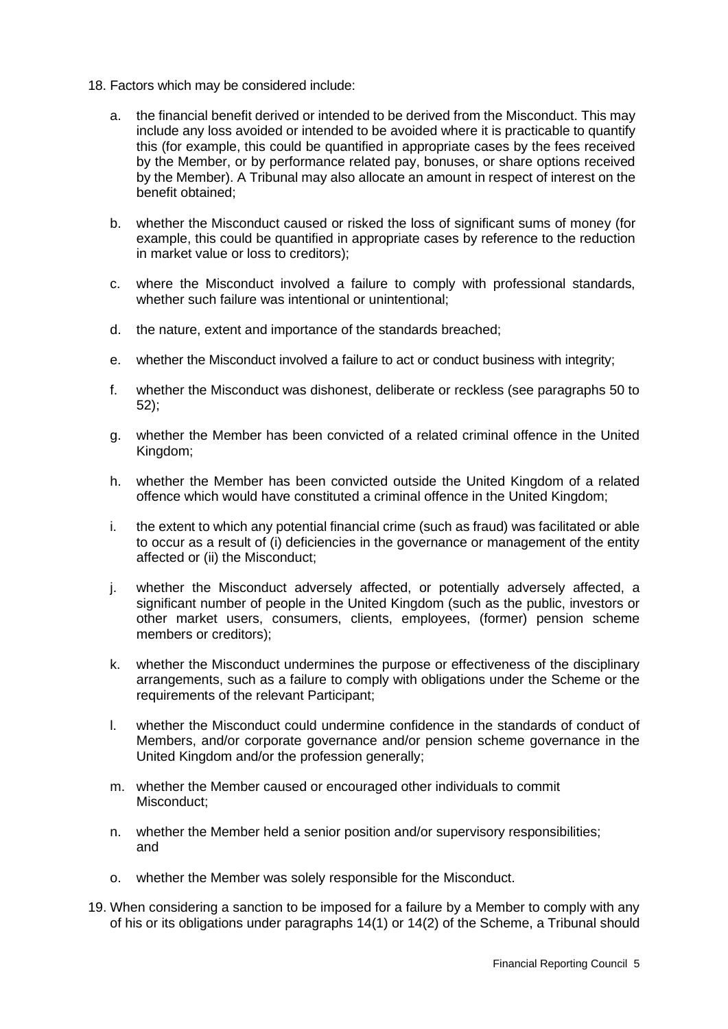- 18. Factors which may be considered include:
	- a. the financial benefit derived or intended to be derived from the Misconduct. This may include any loss avoided or intended to be avoided where it is practicable to quantify this (for example, this could be quantified in appropriate cases by the fees received by the Member, or by performance related pay, bonuses, or share options received by the Member). A Tribunal may also allocate an amount in respect of interest on the benefit obtained;
	- b. whether the Misconduct caused or risked the loss of significant sums of money (for example, this could be quantified in appropriate cases by reference to the reduction in market value or loss to creditors);
	- c. where the Misconduct involved a failure to comply with professional standards, whether such failure was intentional or unintentional;
	- d. the nature, extent and importance of the standards breached;
	- e. whether the Misconduct involved a failure to act or conduct business with integrity;
	- f. whether the Misconduct was dishonest, deliberate or reckless (see paragraphs 50 to 52);
	- g. whether the Member has been convicted of a related criminal offence in the United Kingdom;
	- h. whether the Member has been convicted outside the United Kingdom of a related offence which would have constituted a criminal offence in the United Kingdom;
	- i. the extent to which any potential financial crime (such as fraud) was facilitated or able to occur as a result of (i) deficiencies in the governance or management of the entity affected or (ii) the Misconduct;
	- j. whether the Misconduct adversely affected, or potentially adversely affected, a significant number of people in the United Kingdom (such as the public, investors or other market users, consumers, clients, employees, (former) pension scheme members or creditors);
	- k. whether the Misconduct undermines the purpose or effectiveness of the disciplinary arrangements, such as a failure to comply with obligations under the Scheme or the requirements of the relevant Participant;
	- l. whether the Misconduct could undermine confidence in the standards of conduct of Members, and/or corporate governance and/or pension scheme governance in the United Kingdom and/or the profession generally;
	- m. whether the Member caused or encouraged other individuals to commit Misconduct;
	- n. whether the Member held a senior position and/or supervisory responsibilities; and
	- o. whether the Member was solely responsible for the Misconduct.
- 19. When considering a sanction to be imposed for a failure by a Member to comply with any of his or its obligations under paragraphs 14(1) or 14(2) of the Scheme, a Tribunal should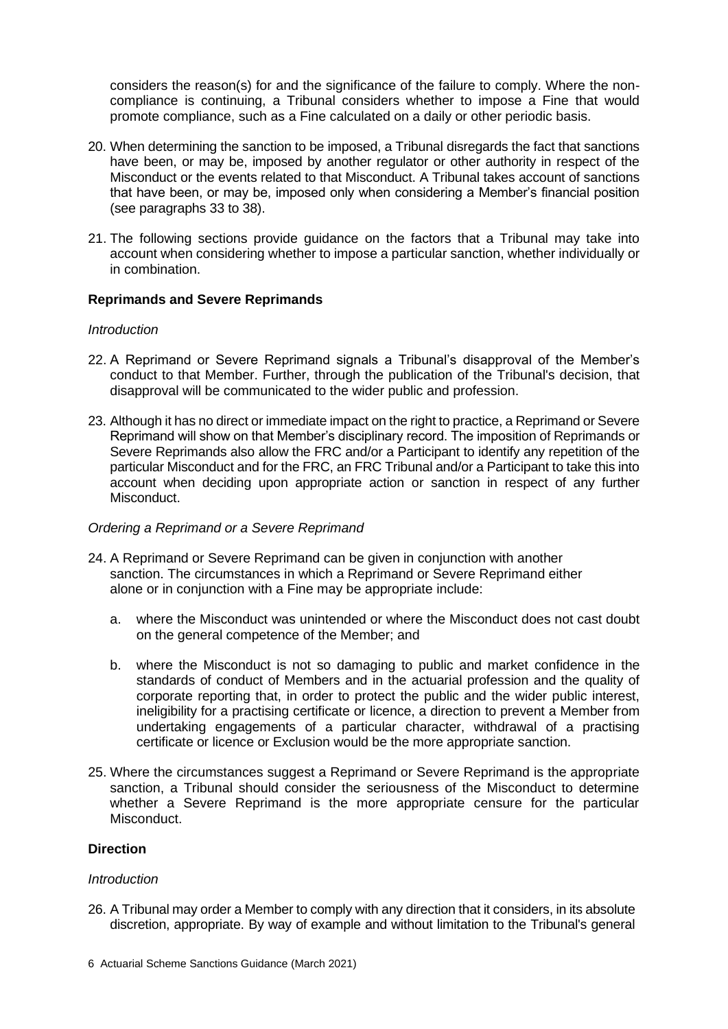considers the reason(s) for and the significance of the failure to comply. Where the noncompliance is continuing, a Tribunal considers whether to impose a Fine that would promote compliance, such as a Fine calculated on a daily or other periodic basis.

- 20. When determining the sanction to be imposed, a Tribunal disregards the fact that sanctions have been, or may be, imposed by another regulator or other authority in respect of the Misconduct or the events related to that Misconduct. A Tribunal takes account of sanctions that have been, or may be, imposed only when considering a Member's financial position (see paragraphs 33 to 38).
- 21. The following sections provide guidance on the factors that a Tribunal may take into account when considering whether to impose a particular sanction, whether individually or in combination.

# **Reprimands and Severe Reprimands**

## *Introduction*

- 22. A Reprimand or Severe Reprimand signals a Tribunal's disapproval of the Member's conduct to that Member. Further, through the publication of the Tribunal's decision, that disapproval will be communicated to the wider public and profession.
- 23. Although it has no direct or immediate impact on the right to practice, a Reprimand or Severe Reprimand will show on that Member's disciplinary record. The imposition of Reprimands or Severe Reprimands also allow the FRC and/or a Participant to identify any repetition of the particular Misconduct and for the FRC, an FRC Tribunal and/or a Participant to take this into account when deciding upon appropriate action or sanction in respect of any further Misconduct.

## *Ordering a Reprimand or a Severe Reprimand*

- 24. A Reprimand or Severe Reprimand can be given in conjunction with another sanction. The circumstances in which a Reprimand or Severe Reprimand either alone or in conjunction with a Fine may be appropriate include:
	- a. where the Misconduct was unintended or where the Misconduct does not cast doubt on the general competence of the Member; and
	- b. where the Misconduct is not so damaging to public and market confidence in the standards of conduct of Members and in the actuarial profession and the quality of corporate reporting that, in order to protect the public and the wider public interest, ineligibility for a practising certificate or licence, a direction to prevent a Member from undertaking engagements of a particular character, withdrawal of a practising certificate or licence or Exclusion would be the more appropriate sanction.
- 25. Where the circumstances suggest a Reprimand or Severe Reprimand is the appropriate sanction, a Tribunal should consider the seriousness of the Misconduct to determine whether a Severe Reprimand is the more appropriate censure for the particular Misconduct.

## **Direction**

#### *Introduction*

26. A Tribunal may order a Member to comply with any direction that it considers, in its absolute discretion, appropriate. By way of example and without limitation to the Tribunal's general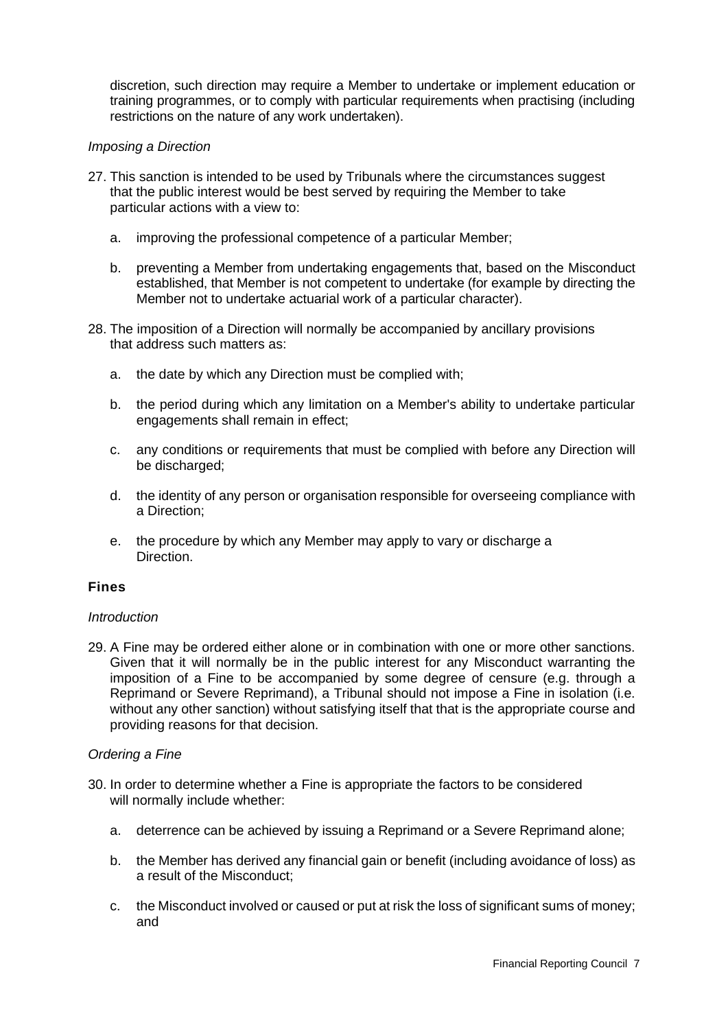discretion, such direction may require a Member to undertake or implement education or training programmes, or to comply with particular requirements when practising (including restrictions on the nature of any work undertaken).

## *Imposing a Direction*

- 27. This sanction is intended to be used by Tribunals where the circumstances suggest that the public interest would be best served by requiring the Member to take particular actions with a view to:
	- a. improving the professional competence of a particular Member;
	- b. preventing a Member from undertaking engagements that, based on the Misconduct established, that Member is not competent to undertake (for example by directing the Member not to undertake actuarial work of a particular character).
- 28. The imposition of a Direction will normally be accompanied by ancillary provisions that address such matters as:
	- a. the date by which any Direction must be complied with;
	- b. the period during which any limitation on a Member's ability to undertake particular engagements shall remain in effect;
	- c. any conditions or requirements that must be complied with before any Direction will be discharged;
	- d. the identity of any person or organisation responsible for overseeing compliance with a Direction;
	- e. the procedure by which any Member may apply to vary or discharge a Direction.

## **Fines**

#### *Introduction*

29. A Fine may be ordered either alone or in combination with one or more other sanctions. Given that it will normally be in the public interest for any Misconduct warranting the imposition of a Fine to be accompanied by some degree of censure (e.g. through a Reprimand or Severe Reprimand), a Tribunal should not impose a Fine in isolation (i.e. without any other sanction) without satisfying itself that that is the appropriate course and providing reasons for that decision.

## *Ordering a Fine*

- 30. In order to determine whether a Fine is appropriate the factors to be considered will normally include whether:
	- a. deterrence can be achieved by issuing a Reprimand or a Severe Reprimand alone;
	- b. the Member has derived any financial gain or benefit (including avoidance of loss) as a result of the Misconduct;
	- c. the Misconduct involved or caused or put at risk the loss of significant sums of money; and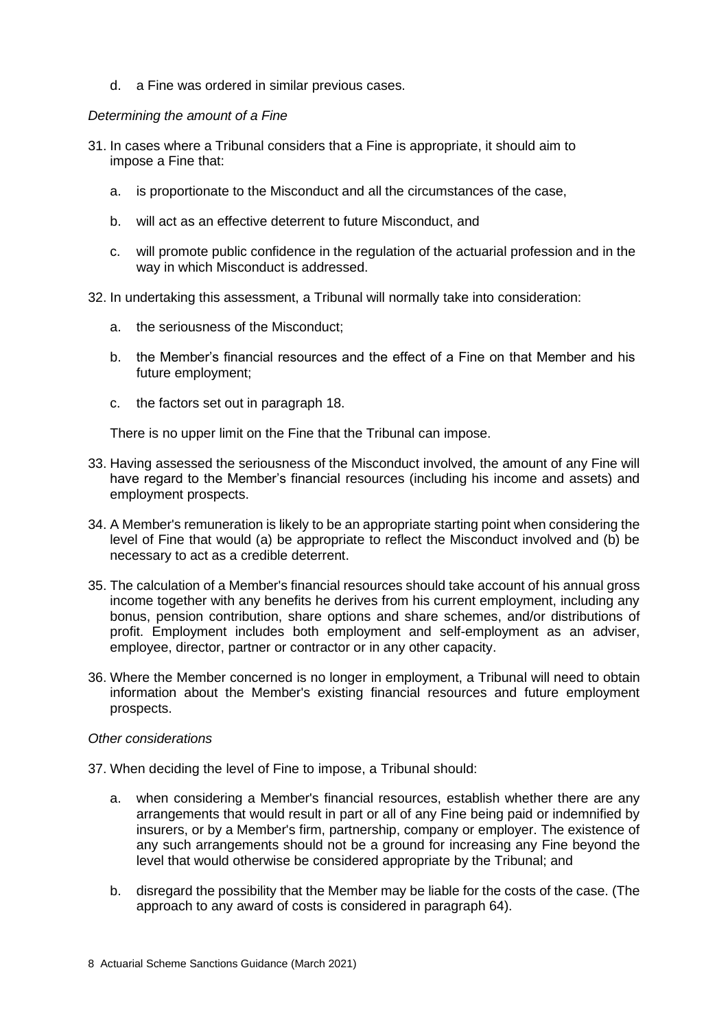d. a Fine was ordered in similar previous cases.

## *Determining the amount of a Fine*

- 31. In cases where a Tribunal considers that a Fine is appropriate, it should aim to impose a Fine that:
	- a. is proportionate to the Misconduct and all the circumstances of the case,
	- b. will act as an effective deterrent to future Misconduct, and
	- c. will promote public confidence in the regulation of the actuarial profession and in the way in which Misconduct is addressed.
- 32. In undertaking this assessment, a Tribunal will normally take into consideration:
	- a. the seriousness of the Misconduct;
	- b. the Member's financial resources and the effect of a Fine on that Member and his future employment;
	- c. the factors set out in paragraph 18.

There is no upper limit on the Fine that the Tribunal can impose.

- 33. Having assessed the seriousness of the Misconduct involved, the amount of any Fine will have regard to the Member's financial resources (including his income and assets) and employment prospects.
- 34. A Member's remuneration is likely to be an appropriate starting point when considering the level of Fine that would (a) be appropriate to reflect the Misconduct involved and (b) be necessary to act as a credible deterrent.
- 35. The calculation of a Member's financial resources should take account of his annual gross income together with any benefits he derives from his current employment, including any bonus, pension contribution, share options and share schemes, and/or distributions of profit. Employment includes both employment and self-employment as an adviser, employee, director, partner or contractor or in any other capacity.
- 36. Where the Member concerned is no longer in employment, a Tribunal will need to obtain information about the Member's existing financial resources and future employment prospects.

#### *Other considerations*

- 37. When deciding the level of Fine to impose, a Tribunal should:
	- a. when considering a Member's financial resources, establish whether there are any arrangements that would result in part or all of any Fine being paid or indemnified by insurers, or by a Member's firm, partnership, company or employer. The existence of any such arrangements should not be a ground for increasing any Fine beyond the level that would otherwise be considered appropriate by the Tribunal; and
	- b. disregard the possibility that the Member may be liable for the costs of the case. (The approach to any award of costs is considered in paragraph 64).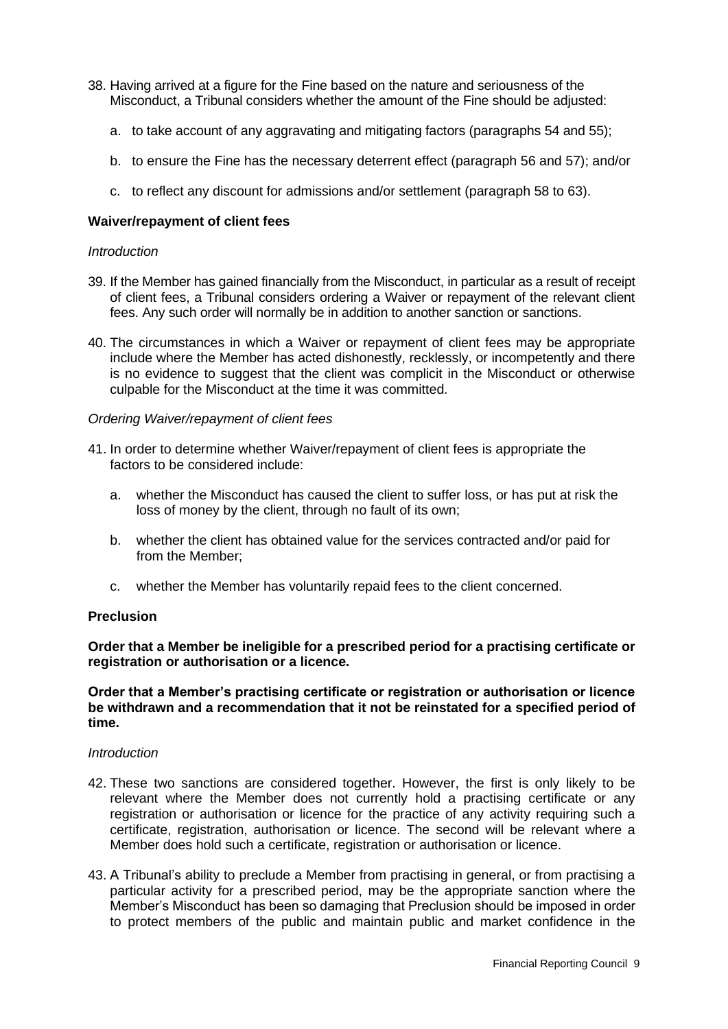- 38. Having arrived at a figure for the Fine based on the nature and seriousness of the Misconduct, a Tribunal considers whether the amount of the Fine should be adjusted:
	- a. to take account of any aggravating and mitigating factors (paragraphs 54 and 55);
	- b. to ensure the Fine has the necessary deterrent effect (paragraph 56 and 57); and/or
	- c. to reflect any discount for admissions and/or settlement (paragraph 58 to 63).

### **Waiver/repayment of client fees**

#### *Introduction*

- 39. If the Member has gained financially from the Misconduct, in particular as a result of receipt of client fees, a Tribunal considers ordering a Waiver or repayment of the relevant client fees. Any such order will normally be in addition to another sanction or sanctions.
- 40. The circumstances in which a Waiver or repayment of client fees may be appropriate include where the Member has acted dishonestly, recklessly, or incompetently and there is no evidence to suggest that the client was complicit in the Misconduct or otherwise culpable for the Misconduct at the time it was committed.

#### *Ordering Waiver/repayment of client fees*

- 41. In order to determine whether Waiver/repayment of client fees is appropriate the factors to be considered include:
	- a. whether the Misconduct has caused the client to suffer loss, or has put at risk the loss of money by the client, through no fault of its own;
	- b. whether the client has obtained value for the services contracted and/or paid for from the Member;
	- c. whether the Member has voluntarily repaid fees to the client concerned.

#### **Preclusion**

**Order that a Member be ineligible for a prescribed period for a practising certificate or registration or authorisation or a licence.**

#### **Order that a Member's practising certificate or registration or authorisation or licence be withdrawn and a recommendation that it not be reinstated for a specified period of time.**

#### *Introduction*

- 42. These two sanctions are considered together. However, the first is only likely to be relevant where the Member does not currently hold a practising certificate or any registration or authorisation or licence for the practice of any activity requiring such a certificate, registration, authorisation or licence. The second will be relevant where a Member does hold such a certificate, registration or authorisation or licence.
- 43. A Tribunal's ability to preclude a Member from practising in general, or from practising a particular activity for a prescribed period, may be the appropriate sanction where the Member's Misconduct has been so damaging that Preclusion should be imposed in order to protect members of the public and maintain public and market confidence in the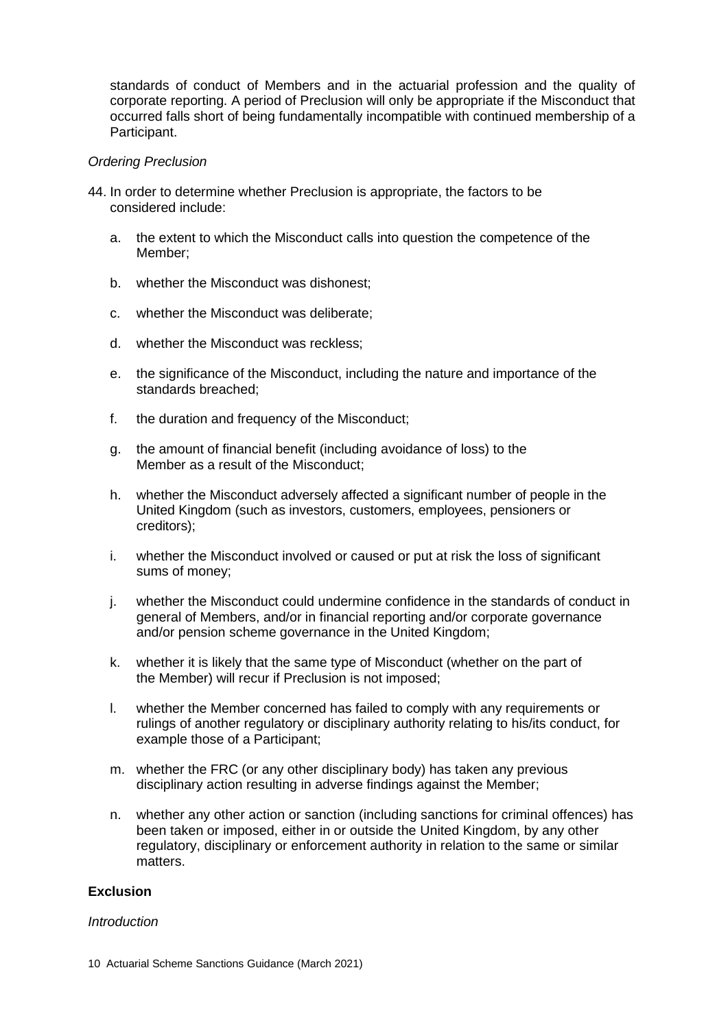standards of conduct of Members and in the actuarial profession and the quality of corporate reporting. A period of Preclusion will only be appropriate if the Misconduct that occurred falls short of being fundamentally incompatible with continued membership of a Participant.

#### *Ordering Preclusion*

- 44. In order to determine whether Preclusion is appropriate, the factors to be considered include:
	- a. the extent to which the Misconduct calls into question the competence of the Member;
	- b. whether the Misconduct was dishonest;
	- c. whether the Misconduct was deliberate;
	- d. whether the Misconduct was reckless;
	- e. the significance of the Misconduct, including the nature and importance of the standards breached;
	- f. the duration and frequency of the Misconduct;
	- g. the amount of financial benefit (including avoidance of loss) to the Member as a result of the Misconduct;
	- h. whether the Misconduct adversely affected a significant number of people in the United Kingdom (such as investors, customers, employees, pensioners or creditors);
	- i. whether the Misconduct involved or caused or put at risk the loss of significant sums of money;
	- j. whether the Misconduct could undermine confidence in the standards of conduct in general of Members, and/or in financial reporting and/or corporate governance and/or pension scheme governance in the United Kingdom;
	- k. whether it is likely that the same type of Misconduct (whether on the part of the Member) will recur if Preclusion is not imposed;
	- l. whether the Member concerned has failed to comply with any requirements or rulings of another regulatory or disciplinary authority relating to his/its conduct, for example those of a Participant;
	- m. whether the FRC (or any other disciplinary body) has taken any previous disciplinary action resulting in adverse findings against the Member;
	- n. whether any other action or sanction (including sanctions for criminal offences) has been taken or imposed, either in or outside the United Kingdom, by any other regulatory, disciplinary or enforcement authority in relation to the same or similar matters.

# **Exclusion**

#### *Introduction*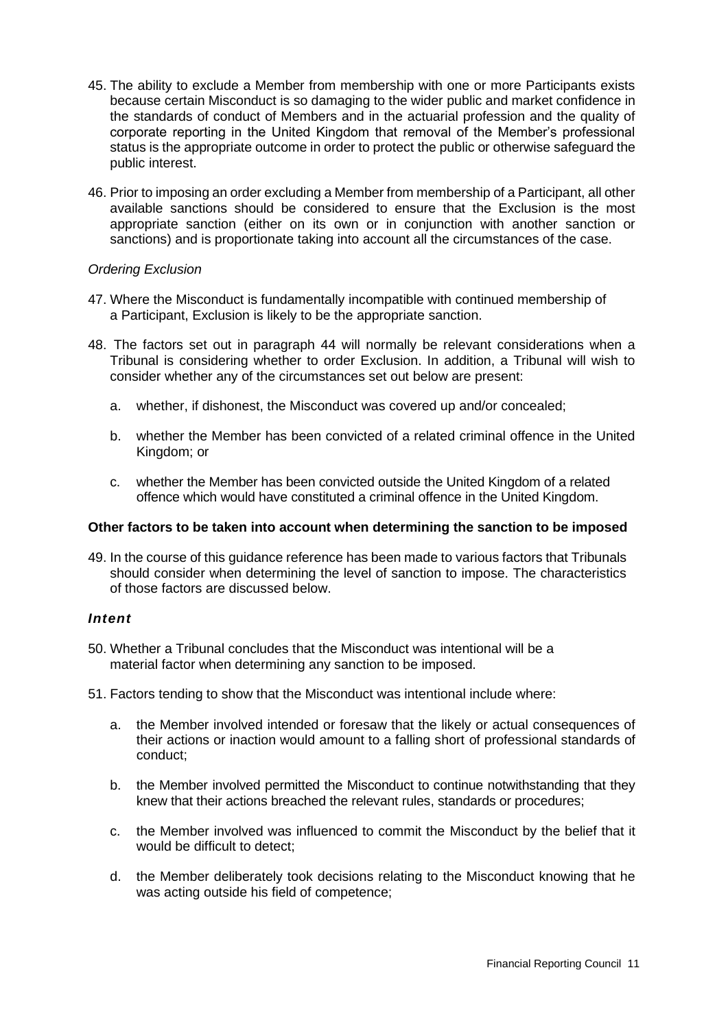- 45. The ability to exclude a Member from membership with one or more Participants exists because certain Misconduct is so damaging to the wider public and market confidence in the standards of conduct of Members and in the actuarial profession and the quality of corporate reporting in the United Kingdom that removal of the Member's professional status is the appropriate outcome in order to protect the public or otherwise safeguard the public interest.
- 46. Prior to imposing an order excluding a Member from membership of a Participant, all other available sanctions should be considered to ensure that the Exclusion is the most appropriate sanction (either on its own or in conjunction with another sanction or sanctions) and is proportionate taking into account all the circumstances of the case.

## *Ordering Exclusion*

- 47. Where the Misconduct is fundamentally incompatible with continued membership of a Participant, Exclusion is likely to be the appropriate sanction.
- 48. The factors set out in paragraph 44 will normally be relevant considerations when a Tribunal is considering whether to order Exclusion. In addition, a Tribunal will wish to consider whether any of the circumstances set out below are present:
	- a. whether, if dishonest, the Misconduct was covered up and/or concealed;
	- b. whether the Member has been convicted of a related criminal offence in the United Kingdom; or
	- c. whether the Member has been convicted outside the United Kingdom of a related offence which would have constituted a criminal offence in the United Kingdom.

## **Other factors to be taken into account when determining the sanction to be imposed**

49. In the course of this guidance reference has been made to various factors that Tribunals should consider when determining the level of sanction to impose. The characteristics of those factors are discussed below.

### *Intent*

- 50. Whether a Tribunal concludes that the Misconduct was intentional will be a material factor when determining any sanction to be imposed.
- 51. Factors tending to show that the Misconduct was intentional include where:
	- a. the Member involved intended or foresaw that the likely or actual consequences of their actions or inaction would amount to a falling short of professional standards of conduct;
	- b. the Member involved permitted the Misconduct to continue notwithstanding that they knew that their actions breached the relevant rules, standards or procedures;
	- c. the Member involved was influenced to commit the Misconduct by the belief that it would be difficult to detect;
	- d. the Member deliberately took decisions relating to the Misconduct knowing that he was acting outside his field of competence;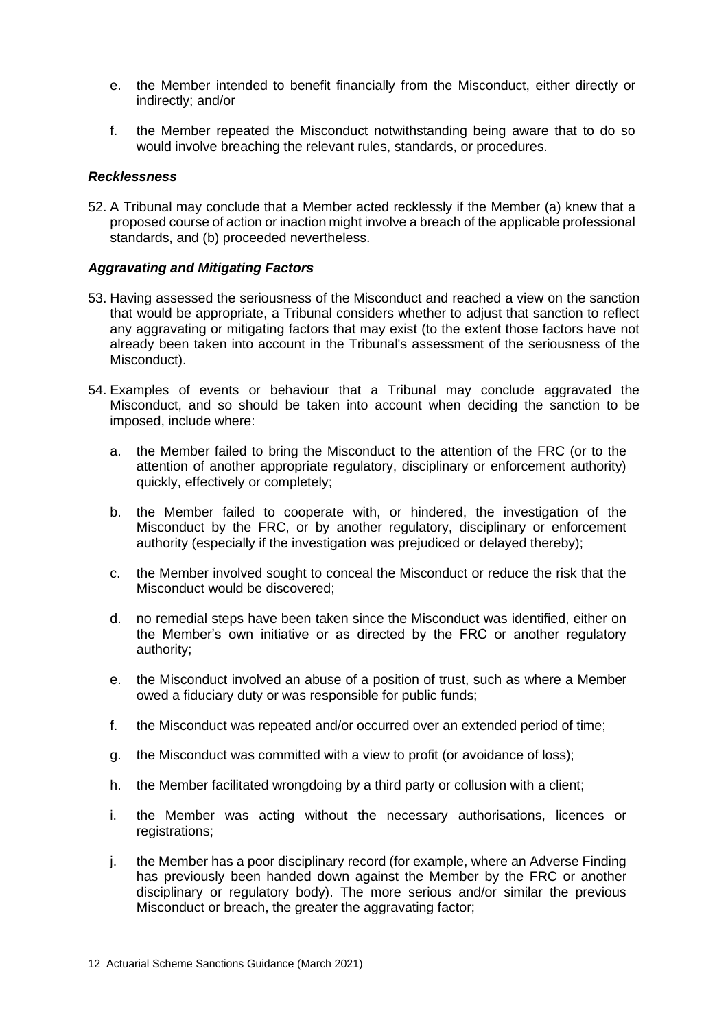- e. the Member intended to benefit financially from the Misconduct, either directly or indirectly; and/or
- f. the Member repeated the Misconduct notwithstanding being aware that to do so would involve breaching the relevant rules, standards, or procedures.

#### *Recklessness*

52. A Tribunal may conclude that a Member acted recklessly if the Member (a) knew that a proposed course of action or inaction might involve a breach of the applicable professional standards, and (b) proceeded nevertheless.

#### *Aggravating and Mitigating Factors*

- 53. Having assessed the seriousness of the Misconduct and reached a view on the sanction that would be appropriate, a Tribunal considers whether to adjust that sanction to reflect any aggravating or mitigating factors that may exist (to the extent those factors have not already been taken into account in the Tribunal's assessment of the seriousness of the Misconduct).
- 54. Examples of events or behaviour that a Tribunal may conclude aggravated the Misconduct, and so should be taken into account when deciding the sanction to be imposed, include where:
	- a. the Member failed to bring the Misconduct to the attention of the FRC (or to the attention of another appropriate regulatory, disciplinary or enforcement authority) quickly, effectively or completely;
	- b. the Member failed to cooperate with, or hindered, the investigation of the Misconduct by the FRC, or by another regulatory, disciplinary or enforcement authority (especially if the investigation was prejudiced or delayed thereby);
	- c. the Member involved sought to conceal the Misconduct or reduce the risk that the Misconduct would be discovered;
	- d. no remedial steps have been taken since the Misconduct was identified, either on the Member's own initiative or as directed by the FRC or another regulatory authority;
	- e. the Misconduct involved an abuse of a position of trust, such as where a Member owed a fiduciary duty or was responsible for public funds;
	- f. the Misconduct was repeated and/or occurred over an extended period of time;
	- g. the Misconduct was committed with a view to profit (or avoidance of loss);
	- h. the Member facilitated wrongdoing by a third party or collusion with a client;
	- i. the Member was acting without the necessary authorisations, licences or registrations;
	- j. the Member has a poor disciplinary record (for example, where an Adverse Finding has previously been handed down against the Member by the FRC or another disciplinary or regulatory body). The more serious and/or similar the previous Misconduct or breach, the greater the aggravating factor;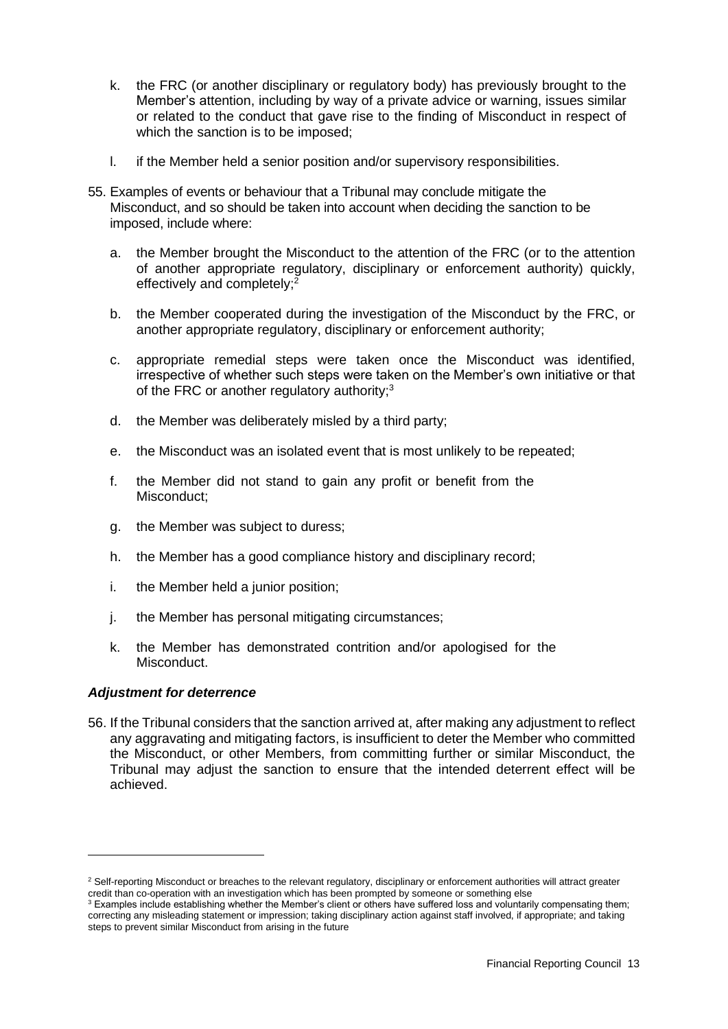- k. the FRC (or another disciplinary or regulatory body) has previously brought to the Member's attention, including by way of a private advice or warning, issues similar or related to the conduct that gave rise to the finding of Misconduct in respect of which the sanction is to be imposed;
- l. if the Member held a senior position and/or supervisory responsibilities.
- 55. Examples of events or behaviour that a Tribunal may conclude mitigate the Misconduct, and so should be taken into account when deciding the sanction to be imposed, include where:
	- a. the Member brought the Misconduct to the attention of the FRC (or to the attention of another appropriate regulatory, disciplinary or enforcement authority) quickly, effectively and completely;<sup>2</sup>
	- b. the Member cooperated during the investigation of the Misconduct by the FRC, or another appropriate regulatory, disciplinary or enforcement authority;
	- c. appropriate remedial steps were taken once the Misconduct was identified, irrespective of whether such steps were taken on the Member's own initiative or that of the FRC or another regulatory authority; $3$
	- d. the Member was deliberately misled by a third party;
	- e. the Misconduct was an isolated event that is most unlikely to be repeated;
	- f. the Member did not stand to gain any profit or benefit from the Misconduct;
	- g. the Member was subject to duress;
	- h. the Member has a good compliance history and disciplinary record;
	- i. the Member held a junior position;
	- j. the Member has personal mitigating circumstances;
	- k. the Member has demonstrated contrition and/or apologised for the Misconduct.

#### *Adjustment for deterrence*

56. If the Tribunal considers that the sanction arrived at, after making any adjustment to reflect any aggravating and mitigating factors, is insufficient to deter the Member who committed the Misconduct, or other Members, from committing further or similar Misconduct, the Tribunal may adjust the sanction to ensure that the intended deterrent effect will be achieved.

<sup>&</sup>lt;sup>2</sup> Self-reporting Misconduct or breaches to the relevant regulatory, disciplinary or enforcement authorities will attract greater credit than co-operation with an investigation which has been prompted by someone or something else

 $3$  Examples include establishing whether the Member's client or others have suffered loss and voluntarily compensating them; correcting any misleading statement or impression; taking disciplinary action against staff involved, if appropriate; and taking steps to prevent similar Misconduct from arising in the future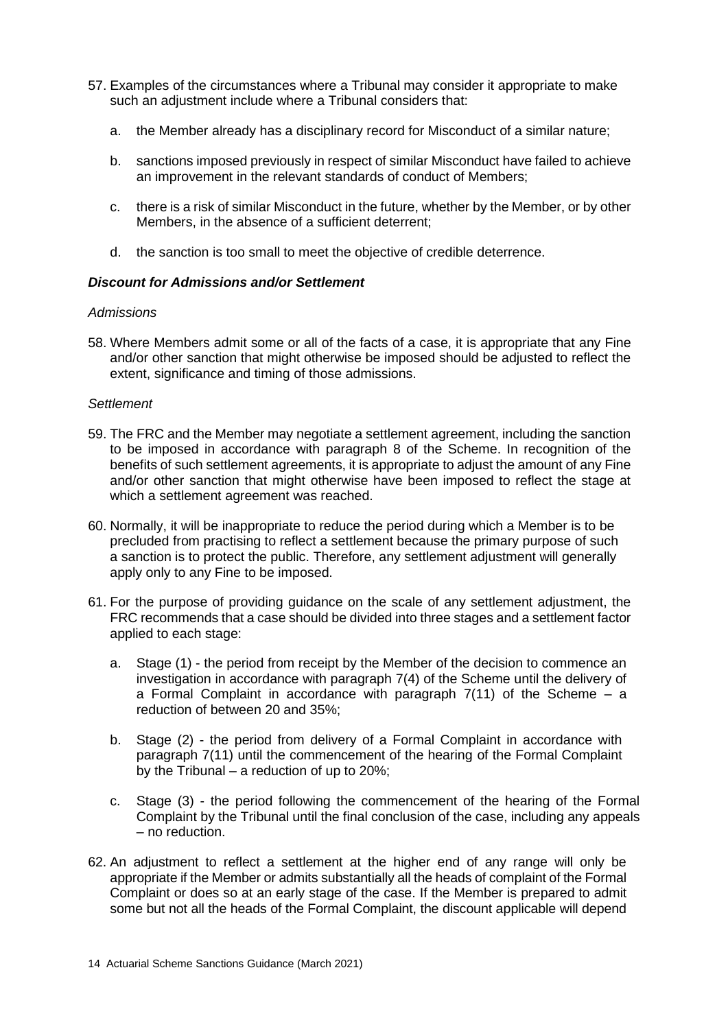- 57. Examples of the circumstances where a Tribunal may consider it appropriate to make such an adjustment include where a Tribunal considers that:
	- a. the Member already has a disciplinary record for Misconduct of a similar nature;
	- b. sanctions imposed previously in respect of similar Misconduct have failed to achieve an improvement in the relevant standards of conduct of Members;
	- c. there is a risk of similar Misconduct in the future, whether by the Member, or by other Members, in the absence of a sufficient deterrent;
	- d. the sanction is too small to meet the objective of credible deterrence.

## *Discount for Admissions and/or Settlement*

## *Admissions*

58. Where Members admit some or all of the facts of a case, it is appropriate that any Fine and/or other sanction that might otherwise be imposed should be adjusted to reflect the extent, significance and timing of those admissions.

## *Settlement*

- 59. The FRC and the Member may negotiate a settlement agreement, including the sanction to be imposed in accordance with paragraph 8 of the Scheme. In recognition of the benefits of such settlement agreements, it is appropriate to adjust the amount of any Fine and/or other sanction that might otherwise have been imposed to reflect the stage at which a settlement agreement was reached.
- 60. Normally, it will be inappropriate to reduce the period during which a Member is to be precluded from practising to reflect a settlement because the primary purpose of such a sanction is to protect the public. Therefore, any settlement adjustment will generally apply only to any Fine to be imposed.
- 61. For the purpose of providing guidance on the scale of any settlement adjustment, the FRC recommends that a case should be divided into three stages and a settlement factor applied to each stage:
	- a. Stage (1) the period from receipt by the Member of the decision to commence an investigation in accordance with paragraph 7(4) of the Scheme until the delivery of a Formal Complaint in accordance with paragraph  $7(11)$  of the Scheme – a reduction of between 20 and 35%;
	- b. Stage (2) the period from delivery of a Formal Complaint in accordance with paragraph 7(11) until the commencement of the hearing of the Formal Complaint by the Tribunal – a reduction of up to 20%;
	- c. Stage (3) the period following the commencement of the hearing of the Formal Complaint by the Tribunal until the final conclusion of the case, including any appeals – no reduction.
- 62. An adjustment to reflect a settlement at the higher end of any range will only be appropriate if the Member or admits substantially all the heads of complaint of the Formal Complaint or does so at an early stage of the case. If the Member is prepared to admit some but not all the heads of the Formal Complaint, the discount applicable will depend